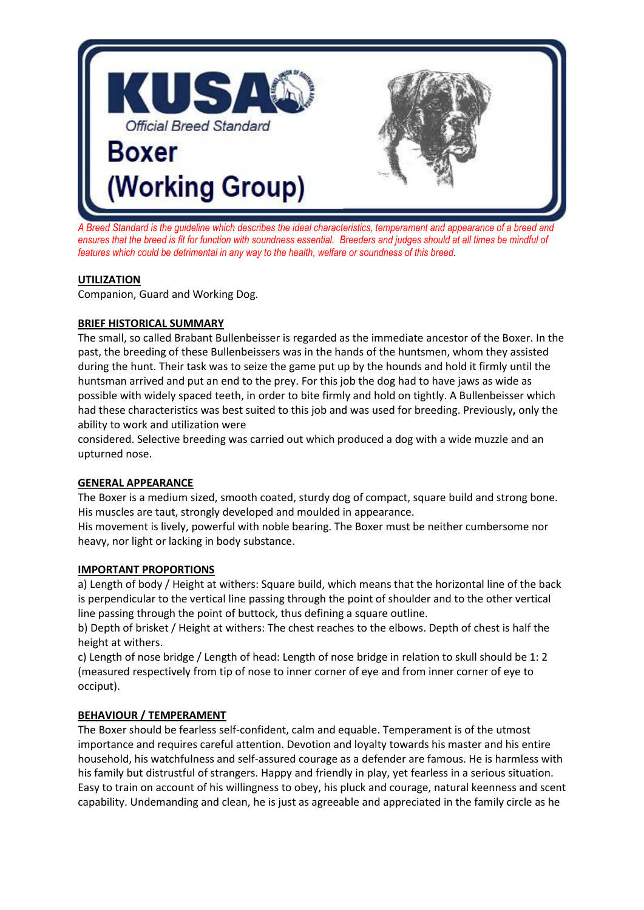

*A Breed Standard is the guideline which describes the ideal characteristics, temperament and appearance of a breed and ensures that the breed is fit for function with soundness essential. Breeders and judges should at all times be mindful of features which could be detrimental in any way to the health, welfare or soundness of this breed.*

### **UTILIZATION**

Companion, Guard and Working Dog.

### **BRIEF HISTORICAL SUMMARY**

The small, so called Brabant Bullenbeisser is regarded as the immediate ancestor of the Boxer. In the past, the breeding of these Bullenbeissers was in the hands of the huntsmen, whom they assisted during the hunt. Their task was to seize the game put up by the hounds and hold it firmly until the huntsman arrived and put an end to the prey. For this job the dog had to have jaws as wide as possible with widely spaced teeth, in order to bite firmly and hold on tightly. A Bullenbeisser which had these characteristics was best suited to this job and was used for breeding. Previously**,** only the ability to work and utilization were

considered. Selective breeding was carried out which produced a dog with a wide muzzle and an upturned nose.

#### **GENERAL APPEARANCE**

The Boxer is a medium sized, smooth coated, sturdy dog of compact, square build and strong bone. His muscles are taut, strongly developed and moulded in appearance.

His movement is lively, powerful with noble bearing. The Boxer must be neither cumbersome nor heavy, nor light or lacking in body substance.

#### **IMPORTANT PROPORTIONS**

a) Length of body / Height at withers: Square build, which means that the horizontal line of the back is perpendicular to the vertical line passing through the point of shoulder and to the other vertical line passing through the point of buttock, thus defining a square outline.

b) Depth of brisket / Height at withers: The chest reaches to the elbows. Depth of chest is half the height at withers.

c) Length of nose bridge / Length of head: Length of nose bridge in relation to skull should be 1: 2 (measured respectively from tip of nose to inner corner of eye and from inner corner of eye to occiput).

# **BEHAVIOUR / TEMPERAMENT**

The Boxer should be fearless self-confident, calm and equable. Temperament is of the utmost importance and requires careful attention. Devotion and loyalty towards his master and his entire household, his watchfulness and self-assured courage as a defender are famous. He is harmless with his family but distrustful of strangers. Happy and friendly in play, yet fearless in a serious situation. Easy to train on account of his willingness to obey, his pluck and courage, natural keenness and scent capability. Undemanding and clean, he is just as agreeable and appreciated in the family circle as he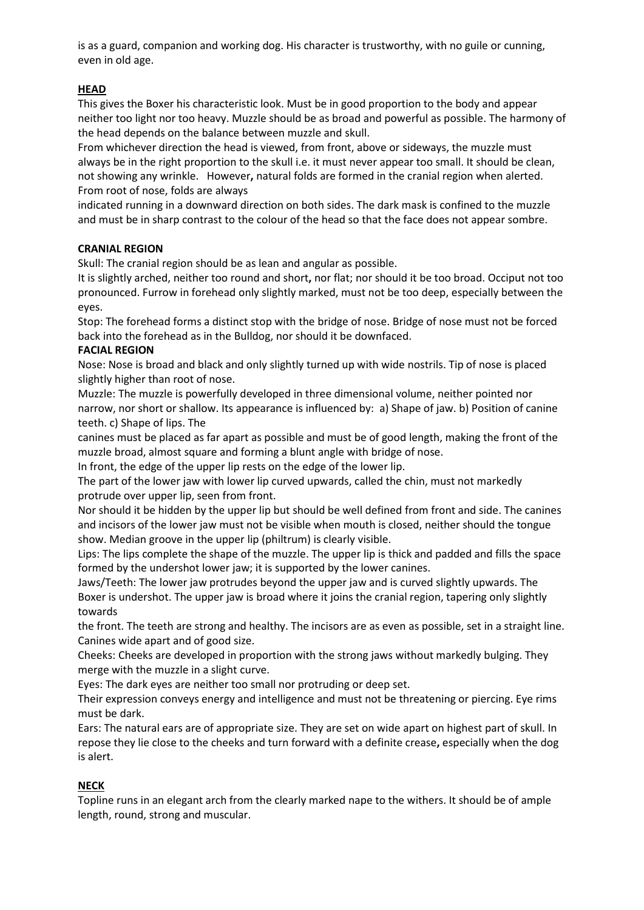is as a guard, companion and working dog. His character is trustworthy, with no guile or cunning, even in old age.

# **HEAD**

This gives the Boxer his characteristic look. Must be in good proportion to the body and appear neither too light nor too heavy. Muzzle should be as broad and powerful as possible. The harmony of the head depends on the balance between muzzle and skull.

From whichever direction the head is viewed, from front, above or sideways, the muzzle must always be in the right proportion to the skull i.e. it must never appear too small. It should be clean, not showing any wrinkle. However**,** natural folds are formed in the cranial region when alerted. From root of nose, folds are always

indicated running in a downward direction on both sides. The dark mask is confined to the muzzle and must be in sharp contrast to the colour of the head so that the face does not appear sombre.

#### **CRANIAL REGION**

Skull: The cranial region should be as lean and angular as possible.

It is slightly arched, neither too round and short**,** nor flat; nor should it be too broad. Occiput not too pronounced. Furrow in forehead only slightly marked, must not be too deep, especially between the eyes.

Stop: The forehead forms a distinct stop with the bridge of nose. Bridge of nose must not be forced back into the forehead as in the Bulldog, nor should it be downfaced.

### **FACIAL REGION**

Nose: Nose is broad and black and only slightly turned up with wide nostrils. Tip of nose is placed slightly higher than root of nose.

Muzzle: The muzzle is powerfully developed in three dimensional volume, neither pointed nor narrow, nor short or shallow. Its appearance is influenced by: a) Shape of jaw. b) Position of canine teeth. c) Shape of lips. The

canines must be placed as far apart as possible and must be of good length, making the front of the muzzle broad, almost square and forming a blunt angle with bridge of nose.

In front, the edge of the upper lip rests on the edge of the lower lip.

The part of the lower jaw with lower lip curved upwards, called the chin, must not markedly protrude over upper lip, seen from front.

Nor should it be hidden by the upper lip but should be well defined from front and side. The canines and incisors of the lower jaw must not be visible when mouth is closed, neither should the tongue show. Median groove in the upper lip (philtrum) is clearly visible.

Lips: The lips complete the shape of the muzzle. The upper lip is thick and padded and fills the space formed by the undershot lower jaw; it is supported by the lower canines.

Jaws/Teeth: The lower jaw protrudes beyond the upper jaw and is curved slightly upwards. The Boxer is undershot. The upper jaw is broad where it joins the cranial region, tapering only slightly towards

the front. The teeth are strong and healthy. The incisors are as even as possible, set in a straight line. Canines wide apart and of good size.

Cheeks: Cheeks are developed in proportion with the strong jaws without markedly bulging. They merge with the muzzle in a slight curve.

Eyes: The dark eyes are neither too small nor protruding or deep set.

Their expression conveys energy and intelligence and must not be threatening or piercing. Eye rims must be dark.

Ears: The natural ears are of appropriate size. They are set on wide apart on highest part of skull. In repose they lie close to the cheeks and turn forward with a definite crease**,** especially when the dog is alert.

# **NECK**

Topline runs in an elegant arch from the clearly marked nape to the withers. It should be of ample length, round, strong and muscular.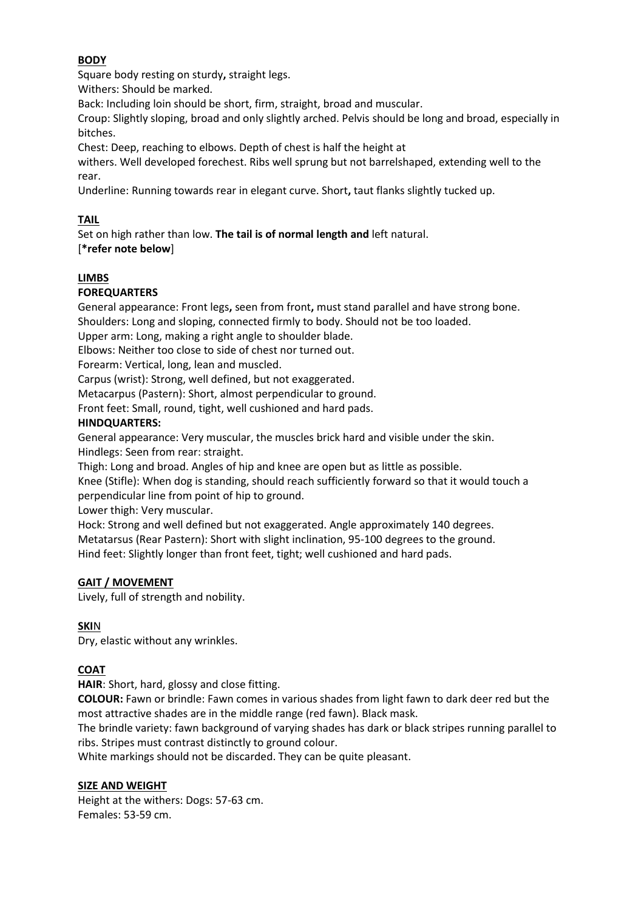# **BODY**

Square body resting on sturdy**,** straight legs.

Withers: Should be marked.

Back: Including loin should be short, firm, straight, broad and muscular.

Croup: Slightly sloping, broad and only slightly arched. Pelvis should be long and broad, especially in bitches.

Chest: Deep, reaching to elbows. Depth of chest is half the height at

withers. Well developed forechest. Ribs well sprung but not barrelshaped, extending well to the rear.

Underline: Running towards rear in elegant curve. Short**,** taut flanks slightly tucked up.

# **TAIL**

Set on high rather than low. **The tail is of normal length and** left natural. [**\*refer note below**]

# **LIMBS**

### **FOREQUARTERS**

General appearance: Front legs**,** seen from front**,** must stand parallel and have strong bone. Shoulders: Long and sloping, connected firmly to body. Should not be too loaded.

Upper arm: Long, making a right angle to shoulder blade.

Elbows: Neither too close to side of chest nor turned out.

Forearm: Vertical, long, lean and muscled.

Carpus (wrist): Strong, well defined, but not exaggerated.

Metacarpus (Pastern): Short, almost perpendicular to ground.

Front feet: Small, round, tight, well cushioned and hard pads.

### **HINDQUARTERS:**

General appearance: Very muscular, the muscles brick hard and visible under the skin.

Hindlegs: Seen from rear: straight.

Thigh: Long and broad. Angles of hip and knee are open but as little as possible.

Knee (Stifle): When dog is standing, should reach sufficiently forward so that it would touch a perpendicular line from point of hip to ground.

Lower thigh: Very muscular.

Hock: Strong and well defined but not exaggerated. Angle approximately 140 degrees. Metatarsus (Rear Pastern): Short with slight inclination, 95-100 degrees to the ground. Hind feet: Slightly longer than front feet, tight; well cushioned and hard pads.

# **GAIT / MOVEMENT**

Lively, full of strength and nobility.

# **SKI**N

Dry, elastic without any wrinkles.

# **COAT**

**HAIR**: Short, hard, glossy and close fitting.

**COLOUR:** Fawn or brindle: Fawn comes in various shades from light fawn to dark deer red but the most attractive shades are in the middle range (red fawn). Black mask.

The brindle variety: fawn background of varying shades has dark or black stripes running parallel to ribs. Stripes must contrast distinctly to ground colour.

White markings should not be discarded. They can be quite pleasant.

#### **SIZE AND WEIGHT**

Height at the withers: Dogs: 57-63 cm. Females: 53-59 cm.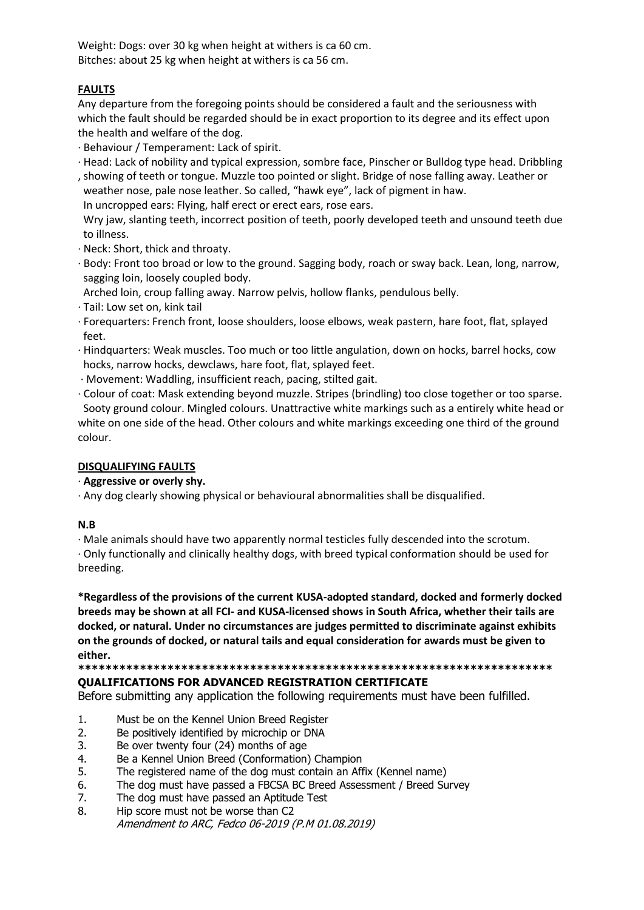Weight: Dogs: over 30 kg when height at withers is ca 60 cm. Bitches: about 25 kg when height at withers is ca 56 cm.

# **FAULTS**

Any departure from the foregoing points should be considered a fault and the seriousness with which the fault should be regarded should be in exact proportion to its degree and its effect upon the health and welfare of the dog.

- · Behaviour / Temperament: Lack of spirit.
- · Head: Lack of nobility and typical expression, sombre face, Pinscher or Bulldog type head. Dribbling
- , showing of teeth or tongue. Muzzle too pointed or slight. Bridge of nose falling away. Leather or weather nose, pale nose leather. So called, "hawk eye", lack of pigment in haw. In uncropped ears: Flying, half erect or erect ears, rose ears.

 Wry jaw, slanting teeth, incorrect position of teeth, poorly developed teeth and unsound teeth due to illness.

- · Neck: Short, thick and throaty.
- · Body: Front too broad or low to the ground. Sagging body, roach or sway back. Lean, long, narrow, sagging loin, loosely coupled body.
- Arched loin, croup falling away. Narrow pelvis, hollow flanks, pendulous belly.
- · Tail: Low set on, kink tail
- · Forequarters: French front, loose shoulders, loose elbows, weak pastern, hare foot, flat, splayed feet.
- · Hindquarters: Weak muscles. Too much or too little angulation, down on hocks, barrel hocks, cow hocks, narrow hocks, dewclaws, hare foot, flat, splayed feet.
- · Movement: Waddling, insufficient reach, pacing, stilted gait.
- · Colour of coat: Mask extending beyond muzzle. Stripes (brindling) too close together or too sparse. Sooty ground colour. Mingled colours. Unattractive white markings such as a entirely white head or white on one side of the head. Other colours and white markings exceeding one third of the ground colour.

# **DISQUALIFYING FAULTS**

# · **Aggressive or overly shy.**

· Any dog clearly showing physical or behavioural abnormalities shall be disqualified.

# **N.B**

· Male animals should have two apparently normal testicles fully descended into the scrotum.

· Only functionally and clinically healthy dogs, with breed typical conformation should be used for breeding.

**\*Regardless of the provisions of the current KUSA-adopted standard, docked and formerly docked breeds may be shown at all FCI- and KUSA-licensed shows in South Africa, whether their tails are docked, or natural. Under no circumstances are judges permitted to discriminate against exhibits on the grounds of docked, or natural tails and equal consideration for awards must be given to either.**

**\*\*\*\*\*\*\*\*\*\*\*\*\*\*\*\*\*\*\*\*\*\*\*\*\*\*\*\*\*\*\*\*\*\*\*\*\*\*\*\*\*\*\*\*\*\*\*\*\*\*\*\*\*\*\*\*\*\*\*\*\*\*\*\*\*\*\*\*\***

# **QUALIFICATIONS FOR ADVANCED REGISTRATION CERTIFICATE**

Before submitting any application the following requirements must have been fulfilled.

- 1. Must be on the Kennel Union Breed Register
- 2. Be positively identified by microchip or DNA
- 3. Be over twenty four (24) months of age
- 4. Be a Kennel Union Breed (Conformation) Champion
- 5. The registered name of the dog must contain an Affix (Kennel name)
- 6. The dog must have passed a FBCSA BC Breed Assessment / Breed Survey
- 7. The dog must have passed an Aptitude Test
- 8. Hip score must not be worse than C2 Amendment to ARC, Fedco 06-2019 (P.M 01.08.2019)